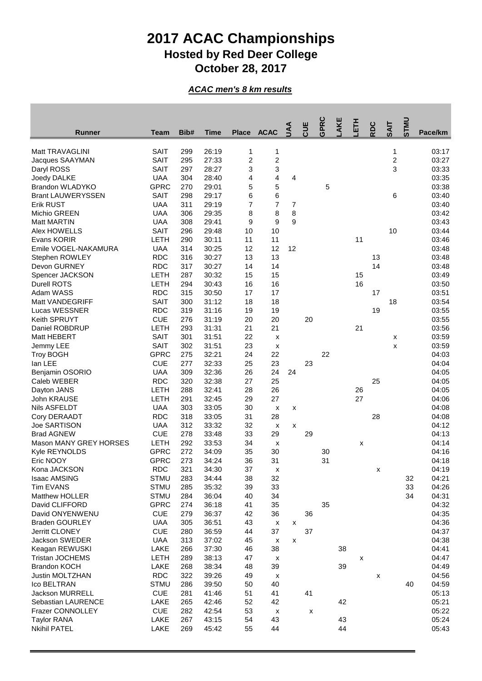## **2017 ACAC Championships Hosted by Red Deer College October 28, 2017**

## *ACAC men's 8 km results*

| Runner                        | Team                       | Bib#       | Time           | <b>Place</b>            | <b>ACAC</b>        | ₹  | CUE                | <b>GPRC</b> | AKE | 舌  | RDC | <b>SAIT</b>      | <b>UNLS</b> | Pace/km        |
|-------------------------------|----------------------------|------------|----------------|-------------------------|--------------------|----|--------------------|-------------|-----|----|-----|------------------|-------------|----------------|
| Matt TRAVAGLINI               | <b>SAIT</b>                | 299        | 26:19          | 1                       | 1                  |    |                    |             |     |    |     | 1                |             | 03:17          |
| Jacques SAAYMAN               | <b>SAIT</b>                | 295        | 27:33          | $\overline{\mathbf{c}}$ | $\boldsymbol{2}$   |    |                    |             |     |    |     | $\boldsymbol{2}$ |             | 03:27          |
| Daryl ROSS                    | <b>SAIT</b>                | 297        | 28:27          | 3                       | 3                  |    |                    |             |     |    |     | 3                |             | 03:33          |
| Joedy DALKE                   | <b>UAA</b>                 | 304        | 28:40          | 4                       | 4                  | 4  |                    |             |     |    |     |                  |             | 03:35          |
| Brandon WLADYKO               | <b>GPRC</b>                | 270        | 29:01          | 5                       | 5                  |    |                    | 5           |     |    |     |                  |             | 03:38          |
| <b>Brant LAUWERYSSEN</b>      | <b>SAIT</b>                | 298        | 29:17          | 6                       | 6                  |    |                    |             |     |    |     | 6                |             | 03:40          |
| <b>Erik RUST</b>              | <b>UAA</b>                 | 311        | 29:19          | $\overline{7}$          | $\overline{7}$     | 7  |                    |             |     |    |     |                  |             | 03:40          |
| <b>Michio GREEN</b>           | <b>UAA</b>                 | 306        | 29:35          | 8                       | 8                  | 8  |                    |             |     |    |     |                  |             | 03:42          |
| <b>Matt MARTIN</b>            | <b>UAA</b>                 | 308        | 29:41          | 9                       | 9                  | 9  |                    |             |     |    |     |                  |             | 03:43          |
| Alex HOWELLS                  | <b>SAIT</b>                | 296        | 29:48          | 10                      | 10                 |    |                    |             |     |    |     | 10               |             | 03:44          |
| Evans KORIR                   | LETH                       | 290        | 30:11          | 11                      | 11                 |    |                    |             |     | 11 |     |                  |             | 03:46          |
| Emile VOGEL-NAKAMURA          | <b>UAA</b>                 | 314        | 30:25          | 12                      | 12                 | 12 |                    |             |     |    |     |                  |             | 03:48          |
| Stephen ROWLEY                | <b>RDC</b>                 | 316        | 30:27          | 13                      | 13                 |    |                    |             |     |    | 13  |                  |             | 03:48          |
| Devon GURNEY                  | <b>RDC</b>                 | 317        | 30:27          | 14                      | 14                 |    |                    |             |     |    | 14  |                  |             | 03:48          |
| Spencer JACKSON               | LETH                       | 287        | 30:32          | 15                      | 15                 |    |                    |             |     | 15 |     |                  |             | 03:49          |
| <b>Durell ROTS</b>            | LETH                       | 294        | 30:43          | 16                      | 16                 |    |                    |             |     | 16 |     |                  |             | 03:50          |
| Adam WASS                     | <b>RDC</b>                 | 315        | 30:50          | 17                      | 17                 |    |                    |             |     |    | 17  |                  |             | 03:51          |
| Matt VANDEGRIFF               | <b>SAIT</b>                | 300        | 31:12          | 18                      | 18                 |    |                    |             |     |    |     | 18               |             | 03:54          |
| Lucas WESSNER                 | <b>RDC</b>                 | 319        | 31:16          | 19                      | 19                 |    |                    |             |     |    | 19  |                  |             | 03:55          |
| Keith SPRUYT                  | <b>CUE</b>                 | 276        | 31:19          | 20                      | 20                 |    | 20                 |             |     |    |     |                  |             | 03:55          |
| Daniel ROBDRUP                | LETH                       | 293        | 31:31          | 21                      | 21                 |    |                    |             |     | 21 |     |                  |             | 03:56          |
| Matt HEBERT                   | <b>SAIT</b>                | 301        | 31:51          | 22                      | x                  |    |                    |             |     |    |     | х                |             | 03:59          |
| Jemmy LEE                     | <b>SAIT</b>                | 302        | 31:51          | 23                      | x                  |    |                    |             |     |    |     | x                |             | 03:59          |
| <b>Troy BOGH</b>              | <b>GPRC</b>                | 275        | 32:21          | 24                      | 22                 |    |                    | 22          |     |    |     |                  |             | 04:03          |
| lan LEE                       | <b>CUE</b>                 | 277        | 32:33          | 25                      | 23                 |    | 23                 |             |     |    |     |                  |             | 04:04          |
| Benjamin OSORIO               | <b>UAA</b>                 | 309        | 32:36          | 26                      | 24                 | 24 |                    |             |     |    |     |                  |             | 04:05          |
| Caleb WEBER                   | <b>RDC</b>                 | 320        | 32:38          | 27                      | 25                 |    |                    |             |     |    | 25  |                  |             | 04:05          |
| Dayton JANS                   | LETH                       | 288        | 32:41          | 28                      | 26                 |    |                    |             |     | 26 |     |                  |             | 04:05          |
| John KRAUSE                   | LETH                       | 291        | 32:45          | 29                      | 27                 |    |                    |             |     | 27 |     |                  |             | 04:06          |
| Nils ASFELDT                  | <b>UAA</b>                 | 303        | 33:05          | 30                      | X                  | x  |                    |             |     |    |     |                  |             | 04:08          |
| Cory DERAADT                  | <b>RDC</b>                 | 318        | 33:05          | 31                      | 28                 |    |                    |             |     |    | 28  |                  |             | 04:08          |
| <b>Joe SARTISON</b>           | <b>UAA</b>                 | 312        | 33:32          | 32                      | X                  | X  |                    |             |     |    |     |                  |             | 04:12          |
| <b>Brad AGNEW</b>             | <b>CUE</b>                 | 278        | 33:48          | 33                      | 29                 |    | 29                 |             |     |    |     |                  |             | 04:13          |
| <b>Mason MANY GREY HORSES</b> | LETH                       | 292        | 33:53          | 34                      | x                  |    |                    |             |     | x  |     |                  |             | 04:14          |
| Kyle REYNOLDS<br>Eric NOOY    | <b>GPRC</b><br><b>GPRC</b> | 272<br>273 | 34:09<br>34:24 | 35<br>36                | 30<br>31           |    |                    | 30<br>31    |     |    |     |                  |             | 04:16<br>04:18 |
| Kona JACKSON                  | <b>RDC</b>                 | 321        | 34:30          | 37                      | x                  |    |                    |             |     |    |     |                  |             | 04:19          |
| Isaac AMSING                  | <b>STMU</b>                | 283        | 34:44          | 38                      | 32                 |    |                    |             |     |    | х   |                  | 32          | 04:21          |
| <b>Tim EVANS</b>              | <b>STMU</b>                | 285        | 35:32          | 39                      | 33                 |    |                    |             |     |    |     |                  | 33          | 04:26          |
| Matthew HOLLER                | <b>STMU</b>                | 284        | 36:04          | 40                      | 34                 |    |                    |             |     |    |     |                  | 34          | 04:31          |
| David CLIFFORD                | <b>GPRC</b>                | 274        | 36:18          | 41                      | 35                 |    |                    | 35          |     |    |     |                  |             | 04:32          |
| David ONYENWENU               | <b>CUE</b>                 | 279        | 36:37          | 42                      | 36                 |    | 36                 |             |     |    |     |                  |             | 04:35          |
| <b>Braden GOURLEY</b>         | <b>UAA</b>                 | 305        | 36:51          | 43                      | х                  | x  |                    |             |     |    |     |                  |             | 04:36          |
| <b>Jerritt CLONEY</b>         | <b>CUE</b>                 | 280        | 36:59          | 44                      | 37                 |    | 37                 |             |     |    |     |                  |             | 04:37          |
| Jackson SWEDER                | <b>UAA</b>                 | 313        | 37:02          | 45                      | х                  | x  |                    |             |     |    |     |                  |             | 04:38          |
| Keagan REWUSKI                | LAKE                       | 266        | 37:30          | 46                      | 38                 |    |                    |             | 38  |    |     |                  |             | 04:41          |
| Tristan JOCHEMS               | LETH                       | 289        | 38:13          | 47                      | $\pmb{\mathsf{x}}$ |    |                    |             |     | X  |     |                  |             | 04:47          |
| <b>Brandon KOCH</b>           | LAKE                       | 268        | 38:34          | 48                      | 39                 |    |                    |             | 39  |    |     |                  |             | 04:49          |
| <b>Justin MOLTZHAN</b>        | <b>RDC</b>                 | 322        | 39:26          | 49                      | $\pmb{\mathsf{x}}$ |    |                    |             |     |    | х   |                  |             | 04:56          |
| Ico BELTRAN                   | <b>STMU</b>                | 286        | 39:50          | 50                      | 40                 |    |                    |             |     |    |     |                  | 40          | 04:59          |
| <b>Jackson MURRELL</b>        | <b>CUE</b>                 | 281        | 41:46          | 51                      | 41                 |    | 41                 |             |     |    |     |                  |             | 05:13          |
| Sebastian LAURENCE            | LAKE                       | 265        | 42:46          | 52                      | 42                 |    |                    |             | 42  |    |     |                  |             | 05:21          |
| Frazer CONNOLLEY              | <b>CUE</b>                 | 282        | 42:54          | 53                      | $\pmb{\mathsf{x}}$ |    | $\pmb{\mathsf{x}}$ |             |     |    |     |                  |             | 05:22          |
| <b>Taylor RANA</b>            | LAKE                       | 267        | 43:15          | 54                      | 43                 |    |                    |             | 43  |    |     |                  |             | 05:24          |
| <b>Nkihil PATEL</b>           | LAKE                       | 269        | 45:42          | 55                      | 44                 |    |                    |             | 44  |    |     |                  |             | 05:43          |